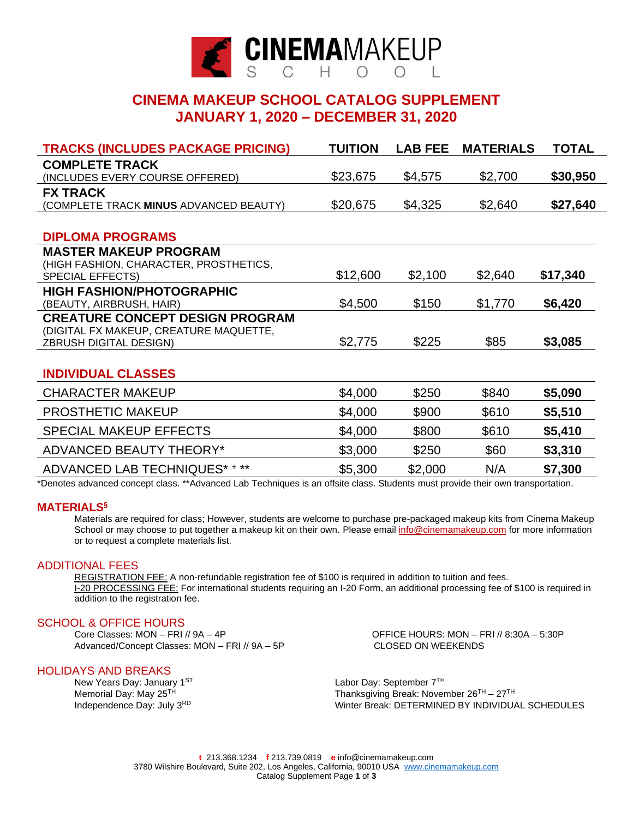

## **CINEMA MAKEUP SCHOOL CATALOG SUPPLEMENT JANUARY 1, 2020 – DECEMBER 31, 2020**

| <b>TRACKS (INCLUDES PACKAGE PRICING)</b> | <b>TUITION</b> | <b>LAB FEE</b> | <b>MATERIALS</b> | <b>TOTAL</b> |
|------------------------------------------|----------------|----------------|------------------|--------------|
| <b>COMPLETE TRACK</b>                    |                |                |                  |              |
| (INCLUDES EVERY COURSE OFFERED)          | \$23,675       | \$4,575        | \$2,700          | \$30,950     |
| <b>FX TRACK</b>                          |                |                |                  |              |
| (COMPLETE TRACK MINUS ADVANCED BEAUTY)   | \$20,675       | \$4,325        | \$2,640          | \$27,640     |
|                                          |                |                |                  |              |
| <b>DIPLOMA PROGRAMS</b>                  |                |                |                  |              |
| <b>MASTER MAKEUP PROGRAM</b>             |                |                |                  |              |
| (HIGH FASHION, CHARACTER, PROSTHETICS,   |                |                |                  |              |
| <b>SPECIAL EFFECTS)</b>                  | \$12,600       | \$2,100        | \$2,640          | \$17,340     |
| <b>HIGH FASHION/PHOTOGRAPHIC</b>         |                |                |                  |              |
| (BEAUTY, AIRBRUSH, HAIR)                 | \$4,500        | \$150          | \$1,770          | \$6,420      |
| <b>CREATURE CONCEPT DESIGN PROGRAM</b>   |                |                |                  |              |
| (DIGITAL FX MAKEUP, CREATURE MAQUETTE,   |                |                |                  |              |
| <b>ZBRUSH DIGITAL DESIGN)</b>            | \$2,775        | \$225          | \$85             | \$3,085      |
|                                          |                |                |                  |              |
| <b>INDIVIDUAL CLASSES</b>                |                |                |                  |              |
| <b>CHARACTER MAKEUP</b>                  | \$4,000        | \$250          | \$840            | \$5,090      |
| PROSTHETIC MAKEUP                        | \$4,000        | \$900          | \$610            | \$5,510      |
| <b>SPECIAL MAKEUP EFFECTS</b>            | \$4,000        | \$800          | \$610            | \$5,410      |
| <b>ADVANCED BEAUTY THEORY*</b>           | \$3,000        | \$250          | \$60             | \$3,310      |
| ADVANCED LAB TECHNIQUES* + **            | \$5,300        | \$2,000        | N/A              | \$7,300      |

\*Denotes advanced concept class. \*\*Advanced Lab Techniques is an offsite class. Students must provide their own transportation.

### **MATERIALS§**

Materials are required for class; However, students are welcome to purchase pre-packaged makeup kits from Cinema Makeup School or may choose to put together a makeup kit on their own. Please email [info@cinemamakeup.com](mailto:info@cinemamakeup.com) for more information or to request a complete materials list.

### ADDITIONAL FEES

REGISTRATION FEE: A non-refundable registration fee of \$100 is required in addition to tuition and fees. I-20 PROCESSING FEE: For international students requiring an I-20 Form, an additional processing fee of \$100 is required in addition to the registration fee.

SCHOOL & OFFICE HOURS<br>Core Classes: MON - FRI // 9A - 4P Advanced/Concept Classes: MON – FRI // 9A – 5P CLOSED ON WEEKENDS

### HOLIDAYS AND BREAKS

New Years Day: January 1ST Memorial Day: May 25 Independence Day: July 3RD

OFFICE HOURS: MON – FRI // 8:30A – 5:30P

Labor Day: September 7TH TH TH Thanksgiving Break: November 26<sup>TH</sup> – 27<sup>TH</sup> Winter Break: DETERMINED BY INDIVIDUAL SCHEDULES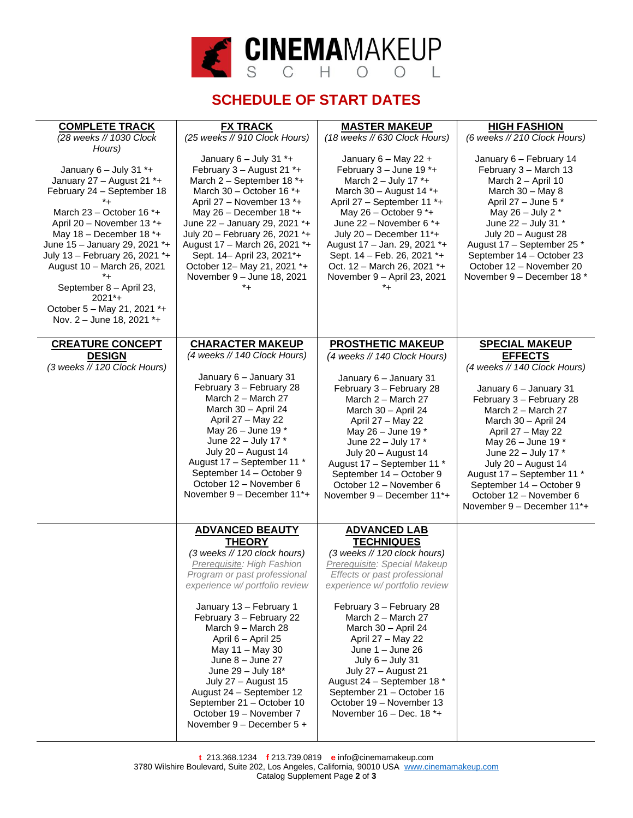

# **SCHEDULE OF START DATES**

| <b>COMPLETE TRACK</b><br>(28 weeks // 1030 Clock<br>Hours)                                                                                                                                                                                                                                                                                                                                           | <b>FX TRACK</b><br>(25 weeks // 910 Clock Hours)                                                                                                                                                                                                                                                                                                                                     | <b>MASTER MAKEUP</b><br>(18 weeks // 630 Clock Hours)                                                                                                                                                                                                                                                                                                              | <b>HIGH FASHION</b><br>(6 weeks // 210 Clock Hours)                                                                                                                                                                                                                                                                                                             |
|------------------------------------------------------------------------------------------------------------------------------------------------------------------------------------------------------------------------------------------------------------------------------------------------------------------------------------------------------------------------------------------------------|--------------------------------------------------------------------------------------------------------------------------------------------------------------------------------------------------------------------------------------------------------------------------------------------------------------------------------------------------------------------------------------|--------------------------------------------------------------------------------------------------------------------------------------------------------------------------------------------------------------------------------------------------------------------------------------------------------------------------------------------------------------------|-----------------------------------------------------------------------------------------------------------------------------------------------------------------------------------------------------------------------------------------------------------------------------------------------------------------------------------------------------------------|
| January $6 -$ July 31 $* +$<br>January 27 - August 21 *+<br>February 24 - September 18<br>*+<br>March $23 -$ October 16 $*$ +<br>April 20 - November 13 *+<br>May $18$ – December $18$ *+<br>June 15 - January 29, 2021 *+<br>July 13 - February 26, 2021 *+<br>August 10 - March 26, 2021<br>*+<br>September 8 - April 23,<br>$2021^*+$<br>October 5 - May 21, 2021 *+<br>Nov. 2 - June 18, 2021 *+ | January $6 -$ July 31 $* +$<br>February 3 - August 21 *+<br>March 2 - September 18 *+<br>March 30 - October 16 $*$ +<br>April 27 - November 13 *+<br>May 26 - December 18 $*$ +<br>June 22 - January 29, 2021 *+<br>July 20 - February 26, 2021 *+<br>August 17 - March 26, 2021 *+<br>Sept. 14- April 23, 2021*+<br>October 12- May 21, 2021 *+<br>November 9 - June 18, 2021<br>*+ | January 6 - May 22 +<br>February 3 - June 19 *+<br>March $2 -$ July 17 $*$ +<br>March 30 - August 14 $*$ +<br>April 27 - September 11 *+<br>May $26$ – October 9 $*$ +<br>June 22 - November 6 *+<br>July 20 - December 11*+<br>August 17 - Jan. 29, 2021 *+<br>Sept. 14 - Feb. 26, 2021 *+<br>Oct. 12 - March 26, 2021 *+<br>November 9 - April 23, 2021<br>$^*+$ | January 6 - February 14<br>February 3 - March 13<br>March $2 -$ April 10<br>March 30 - May 8<br>April 27 - June 5 *<br>May 26 - July 2 *<br>June 22 - July 31 *<br>July 20 - August 28<br>August 17 - September 25 *<br>September 14 - October 23<br>October 12 - November 20<br>November 9 - December 18 *                                                     |
| <b>CREATURE CONCEPT</b>                                                                                                                                                                                                                                                                                                                                                                              | <b>CHARACTER MAKEUP</b>                                                                                                                                                                                                                                                                                                                                                              | <b>PROSTHETIC MAKEUP</b>                                                                                                                                                                                                                                                                                                                                           | <b>SPECIAL MAKEUP</b>                                                                                                                                                                                                                                                                                                                                           |
| <b>DESIGN</b><br>(3 weeks // 120 Clock Hours)                                                                                                                                                                                                                                                                                                                                                        | (4 weeks // 140 Clock Hours)<br>January 6 - January 31<br>February 3 - February 28<br>March 2 - March 27<br>March 30 - April 24<br>April 27 - May 22<br>May 26 - June 19 *<br>June 22 - July 17 *<br>July 20 - August 14<br>August 17 - September 11 *<br>September 14 - October 9<br>October 12 - November 6<br>November 9 - December 11*+                                          | (4 weeks // 140 Clock Hours)<br>January 6 - January 31<br>February 3 - February 28<br>March 2 - March 27<br>March 30 - April 24<br>April 27 - May 22<br>May 26 - June 19 *<br>June 22 - July 17 *<br>July 20 - August 14<br>August 17 - September 11 *<br>September 14 - October 9<br>October 12 - November 6<br>November 9 - December 11*+                        | <b>EFFECTS</b><br>(4 weeks // 140 Clock Hours)<br>January 6 - January 31<br>February 3 - February 28<br>March 2 - March 27<br>March 30 - April 24<br>April 27 - May 22<br>May 26 - June 19 $*$<br>June 22 - July 17 *<br>July 20 - August 14<br>August 17 - September 11 *<br>September 14 - October 9<br>October 12 - November 6<br>November 9 - December 11*+ |
|                                                                                                                                                                                                                                                                                                                                                                                                      | <b>ADVANCED BEAUTY</b>                                                                                                                                                                                                                                                                                                                                                               | <b>ADVANCED LAB</b>                                                                                                                                                                                                                                                                                                                                                |                                                                                                                                                                                                                                                                                                                                                                 |
|                                                                                                                                                                                                                                                                                                                                                                                                      | <b>THEORY</b><br>(3 weeks // 120 clock hours)<br>Prerequisite: High Fashion<br>Program or past professional<br>experience w/ portfolio review                                                                                                                                                                                                                                        | <b>TECHNIQUES</b><br>(3 weeks // 120 clock hours)<br>Prerequisite: Special Makeup<br>Effects or past professional<br>experience w/ portfolio review                                                                                                                                                                                                                |                                                                                                                                                                                                                                                                                                                                                                 |
|                                                                                                                                                                                                                                                                                                                                                                                                      | January 13 - February 1<br>February 3 - February 22<br>March 9 - March 28<br>April 6 - April 25<br>May 11 - May 30<br>June $8 -$ June 27<br>June 29 - July 18*<br>July 27 - August 15<br>August 24 - September 12<br>September 21 - October 10<br>October 19 - November 7<br>November 9 - December 5 +                                                                               | February 3 - February 28<br>March 2 - March 27<br>March 30 - April 24<br>April 27 - May 22<br>June $1 -$ June 26<br>July $6 -$ July 31<br>July 27 - August 21<br>August 24 - September 18 *<br>September 21 - October 16<br>October 19 - November 13<br>November 16 - Dec. 18 *+                                                                                   |                                                                                                                                                                                                                                                                                                                                                                 |